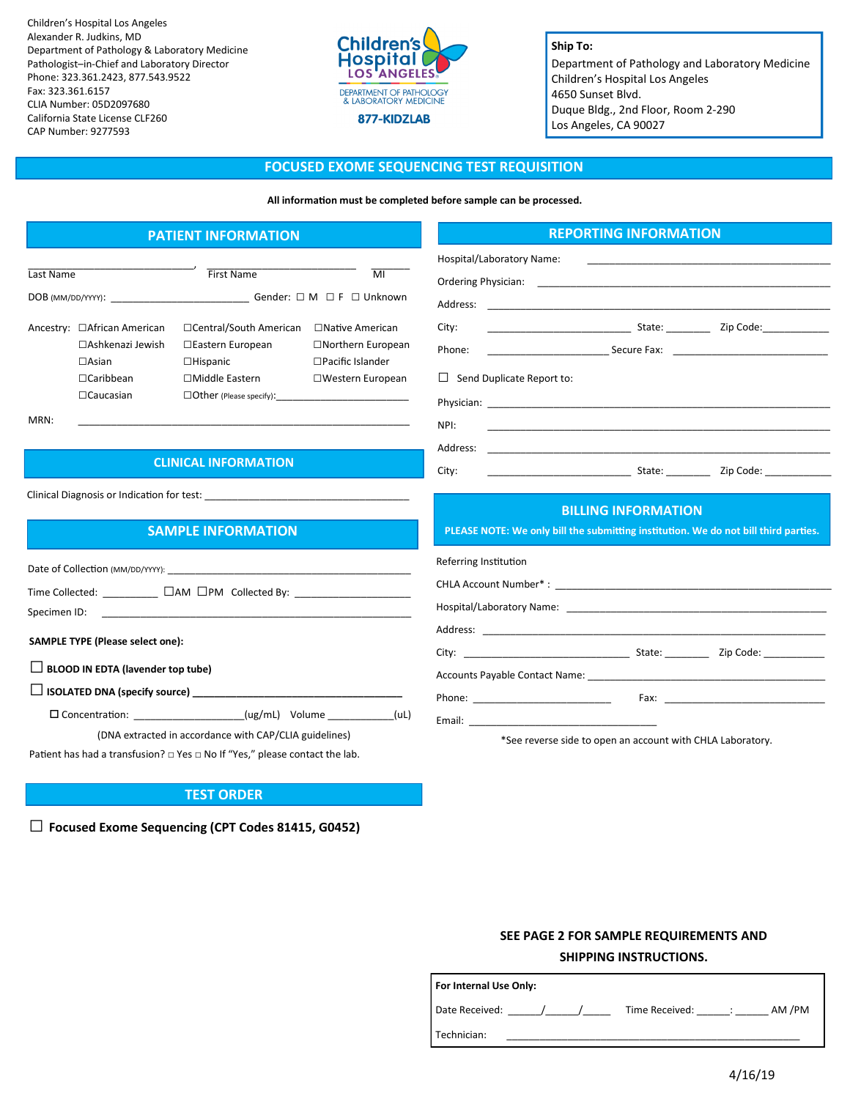Children's Hospital Los Angeles Alexander R. Judkins, MD Department of Pathology & Laboratory Medicine Pathologist–in-Chief and Laboratory Director Phone: 323.361.2423, 877.543.9522 Fax: 323.361.6157 CLIA Number: 05D2097680 California State License CLF260 CAP Number: 9277593



## **Ship To:**

Department of Pathology and Laboratory Medicine Children's Hospital Los Angeles 4650 Sunset Blvd. Duque Bldg., 2nd Floor, Room 2-290 Los Angeles, CA 90027

#### **FOCUSED EXOME SEQUENCING TEST REQUISITION**

**All information must be completed before sample can be processed.**

# **PATIENT INFORMATION**

| Last Name         |                                                                                                           | First Name                                                                                                           | MI                                                                                                          |
|-------------------|-----------------------------------------------------------------------------------------------------------|----------------------------------------------------------------------------------------------------------------------|-------------------------------------------------------------------------------------------------------------|
| DOB (MM/DD/YYYY): |                                                                                                           | Gender: $\square$ M $\square$ F $\square$ Unknown                                                                    |                                                                                                             |
|                   | Ancestry: □African American<br>□ Ashkenazi Jewish<br>$\Box$ Asian<br>$\Box$ Caribbean<br>$\Box$ Caucasian | □Central/South American<br>□Eastern European<br>$\Box$ Hispanic<br>□Middle Eastern<br>$\Box$ Other (Please specify): | $\Box$ Native American<br>$\Box$ Northern European<br>$\Box$ Pacific Islander<br>$\square$ Western European |

MRN: \_\_\_\_\_\_\_\_\_\_\_\_\_\_\_\_\_\_\_\_\_\_\_\_\_\_\_\_\_\_\_\_\_\_\_\_\_\_\_\_\_\_\_\_\_\_\_\_\_\_\_\_\_\_\_\_\_\_\_\_

## **CLINICAL INFORMATION**

Clinical Diagnosis or Indication for test:

# **SAMPLE INFORMATION**

**SAMPLE TYPE (Please select one):**  Date of Collection (MM/DD/YYYY): Time Collected: \_\_\_\_\_\_\_\_\_\_ □AM □PM Collected By: \_\_\_\_\_\_\_\_\_\_\_\_\_\_\_\_\_\_\_\_\_ Specimen ID:

**□ BLOOD IN EDTA (lavender top tube)** 

**□ ISOLATED DNA (specify source) \_\_\_\_\_\_\_\_\_\_\_\_\_\_\_\_\_\_\_\_\_\_\_\_\_\_\_\_\_\_\_\_\_\_\_\_\_\_**

Concentration: \_\_\_\_\_\_\_\_\_\_\_\_\_\_\_\_\_\_\_\_(ug/mL) Volume \_\_\_\_\_\_\_\_\_\_\_\_(uL)

(DNA extracted in accordance with CAP/CLIA guidelines)

Patient has had a transfusion? □ Yes □ No If "Yes," please contact the lab.

## **TEST ORDER**

**□ Focused Exome Sequencing (CPT Codes 81415, G0452)**

#### **REPORTING INFORMATION**

| Hospital/Laboratory Name:                                                                                         |                                                                                                                                                                                                                                      |  |  |  |
|-------------------------------------------------------------------------------------------------------------------|--------------------------------------------------------------------------------------------------------------------------------------------------------------------------------------------------------------------------------------|--|--|--|
|                                                                                                                   |                                                                                                                                                                                                                                      |  |  |  |
| Address:                                                                                                          | <u> 1989 - Johann Harry Harry Harry Harry Harry Harry Harry Harry Harry Harry Harry Harry Harry Harry Harry Harry Harry Harry Harry Harry Harry Harry Harry Harry Harry Harry Harry Harry Harry Harry Harry Harry Harry Harry Ha</u> |  |  |  |
| City:                                                                                                             |                                                                                                                                                                                                                                      |  |  |  |
| Phone:                                                                                                            |                                                                                                                                                                                                                                      |  |  |  |
| $\Box$ Send Duplicate Report to:                                                                                  |                                                                                                                                                                                                                                      |  |  |  |
|                                                                                                                   |                                                                                                                                                                                                                                      |  |  |  |
| NPI:                                                                                                              | <u> 1989 - Johann Stoff, deutscher Stoff, der Stoff, der Stoff, der Stoff, der Stoff, der Stoff, der Stoff, der S</u>                                                                                                                |  |  |  |
|                                                                                                                   |                                                                                                                                                                                                                                      |  |  |  |
| City:                                                                                                             |                                                                                                                                                                                                                                      |  |  |  |
| <b>BILLING INFORMATION</b><br>PLEASE NOTE: We only bill the submitting institution. We do not bill third parties. |                                                                                                                                                                                                                                      |  |  |  |
| Referring Institution                                                                                             |                                                                                                                                                                                                                                      |  |  |  |
|                                                                                                                   |                                                                                                                                                                                                                                      |  |  |  |
|                                                                                                                   |                                                                                                                                                                                                                                      |  |  |  |
| Address.                                                                                                          |                                                                                                                                                                                                                                      |  |  |  |

| Referring Institution |  |  |  |  |  |
|-----------------------|--|--|--|--|--|
|                       |  |  |  |  |  |
|                       |  |  |  |  |  |
|                       |  |  |  |  |  |
|                       |  |  |  |  |  |
|                       |  |  |  |  |  |
|                       |  |  |  |  |  |
|                       |  |  |  |  |  |
|                       |  |  |  |  |  |

\*See reverse side to open an account with CHLA Laboratory.

# **SEE PAGE 2 FOR SAMPLE REQUIREMENTS AND SHIPPING INSTRUCTIONS.**

| For Internal Use Only: |                          |  |  |  |  |
|------------------------|--------------------------|--|--|--|--|
| Date Received:         | AM /PM<br>Time Received: |  |  |  |  |
| Technician:            |                          |  |  |  |  |